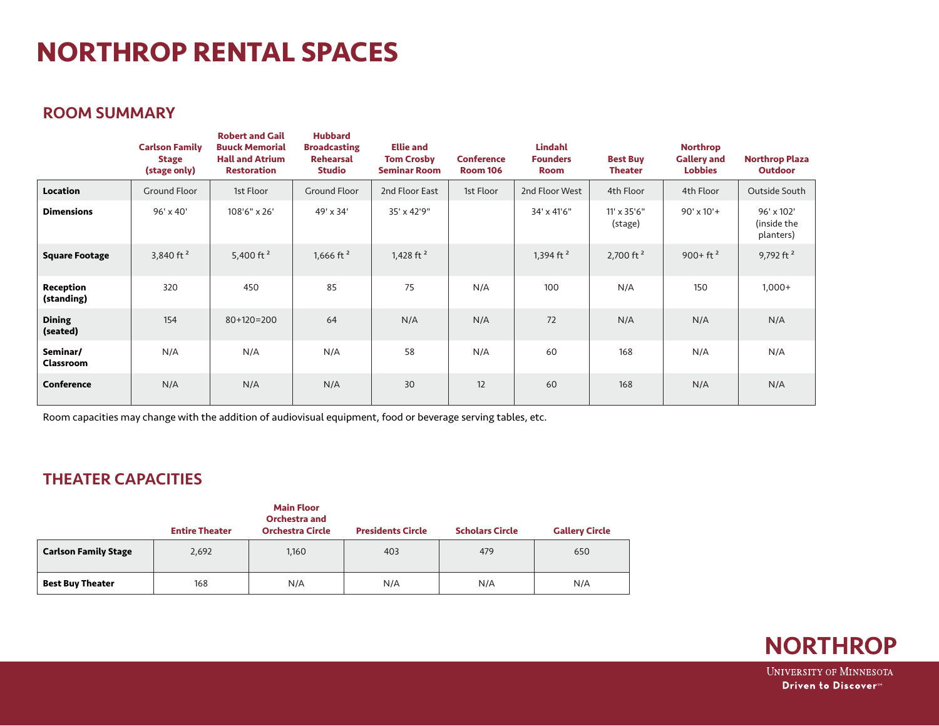# **NORTHROP RENTAL SPACES**

### ROOM SUMMARY

|                              | <b>Carlson Family</b><br><b>Stage</b><br>(stage only) | <b>Robert and Gail</b><br><b>Buuck Memorial</b><br><b>Hall and Atrium</b><br><b>Restoration</b> | <b>Hubbard</b><br><b>Broadcasting</b><br><b>Rehearsal</b><br><b>Studio</b> | <b>Ellie and</b><br><b>Tom Crosby</b><br><b>Seminar Room</b> | <b>Conference</b><br><b>Room 106</b> | <b>Lindahl</b><br><b>Founders</b><br><b>Room</b> | <b>Best Buy</b><br><b>Theater</b> | <b>Northrop</b><br><b>Gallery and</b><br><b>Lobbies</b> | <b>Northrop Plaza</b><br><b>Outdoor</b> |
|------------------------------|-------------------------------------------------------|-------------------------------------------------------------------------------------------------|----------------------------------------------------------------------------|--------------------------------------------------------------|--------------------------------------|--------------------------------------------------|-----------------------------------|---------------------------------------------------------|-----------------------------------------|
| Location                     | <b>Ground Floor</b>                                   | 1st Floor                                                                                       | <b>Ground Floor</b>                                                        | 2nd Floor East                                               | 1st Floor                            | 2nd Floor West                                   | 4th Floor                         | 4th Floor                                               | Outside South                           |
| <b>Dimensions</b>            | 96' x 40'                                             | 108'6" x 26'                                                                                    | 49' x 34'                                                                  | 35' x 42'9"                                                  |                                      | 34' x 41'6"                                      | $11' \times 35'6''$<br>(stage)    | $90' \times 10'$ +                                      | 96' x 102'<br>(inside the<br>planters)  |
| <b>Square Footage</b>        | 3,840 ft $2$                                          | 5,400 ft $2$                                                                                    | 1,666 ft $2$                                                               | 1,428 ft $2$                                                 |                                      | 1,394 ft <sup>2</sup>                            | 2,700 ft $2$                      | $900+ft^2$                                              | 9,792 ft $2$                            |
| Reception<br>(standing)      | 320                                                   | 450                                                                                             | 85                                                                         | 75                                                           | N/A                                  | 100                                              | N/A                               | 150                                                     | $1,000+$                                |
| <b>Dining</b><br>(seated)    | 154                                                   | $80+120=200$                                                                                    | 64                                                                         | N/A                                                          | N/A                                  | 72                                               | N/A                               | N/A                                                     | N/A                                     |
| Seminar/<br><b>Classroom</b> | N/A                                                   | N/A                                                                                             | N/A                                                                        | 58                                                           | N/A                                  | 60                                               | 168                               | N/A                                                     | N/A                                     |
| <b>Conference</b>            | N/A                                                   | N/A                                                                                             | N/A                                                                        | 30                                                           | 12                                   | 60                                               | 168                               | N/A                                                     | N/A                                     |

Room capacities may change with the addition of audiovisual equipment, food or beverage serving tables, etc.

## THEATER CAPACITIES

|                             | <b>Entire Theater</b> | <b>Main Floor</b><br><b>Orchestra and</b><br><b>Orchestra Circle</b> | <b>Presidents Circle</b> | <b>Scholars Circle</b> | <b>Gallery Circle</b> |
|-----------------------------|-----------------------|----------------------------------------------------------------------|--------------------------|------------------------|-----------------------|
| <b>Carlson Family Stage</b> | 2,692                 | 1,160                                                                | 403                      | 479                    | 650                   |
| <b>Best Buy Theater</b>     | 168                   | N/A                                                                  | N/A                      | N/A                    | N/A                   |

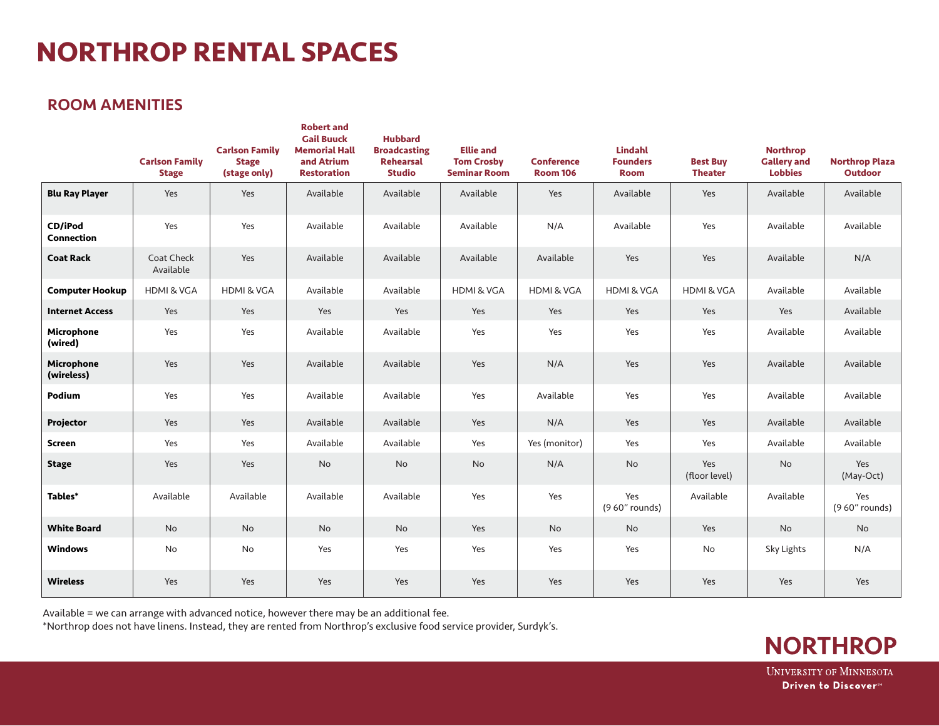# **NORTHROP RENTAL SPACES**

### ROOM AMENITIES

|                                 | <b>Carlson Family</b><br><b>Stage</b> | <b>Carlson Family</b><br><b>Stage</b><br>(stage only) | <b>Robert and</b><br><b>Gail Buuck</b><br><b>Memorial Hall</b><br>and Atrium<br><b>Restoration</b> | <b>Hubbard</b><br><b>Broadcasting</b><br><b>Rehearsal</b><br><b>Studio</b> | <b>Ellie and</b><br><b>Tom Crosby</b><br><b>Seminar Room</b> | <b>Conference</b><br><b>Room 106</b> | <b>Lindahl</b><br><b>Founders</b><br><b>Room</b> | <b>Best Buy</b><br><b>Theater</b> | <b>Northrop</b><br><b>Gallery and</b><br><b>Lobbies</b> | <b>Northrop Plaza</b><br><b>Outdoor</b> |
|---------------------------------|---------------------------------------|-------------------------------------------------------|----------------------------------------------------------------------------------------------------|----------------------------------------------------------------------------|--------------------------------------------------------------|--------------------------------------|--------------------------------------------------|-----------------------------------|---------------------------------------------------------|-----------------------------------------|
| <b>Blu Ray Player</b>           | Yes                                   | Yes                                                   | Available                                                                                          | Available                                                                  | Available                                                    | Yes                                  | Available                                        | Yes                               | Available                                               | Available                               |
| CD/iPod<br>Connection           | Yes                                   | Yes                                                   | Available                                                                                          | Available                                                                  | Available                                                    | N/A                                  | Available                                        | Yes                               | Available                                               | Available                               |
| <b>Coat Rack</b>                | Coat Check<br>Available               | Yes                                                   | Available                                                                                          | Available                                                                  | Available                                                    | Available                            | Yes                                              | Yes                               | Available                                               | N/A                                     |
| <b>Computer Hookup</b>          | <b>HDMI &amp; VGA</b>                 | <b>HDMI &amp; VGA</b>                                 | Available                                                                                          | Available                                                                  | <b>HDMI &amp; VGA</b>                                        | <b>HDMI &amp; VGA</b>                | <b>HDMI &amp; VGA</b>                            | <b>HDMI &amp; VGA</b>             | Available                                               | Available                               |
| <b>Internet Access</b>          | Yes                                   | Yes                                                   | Yes                                                                                                | Yes                                                                        | Yes                                                          | Yes                                  | Yes                                              | Yes                               | Yes                                                     | Available                               |
| <b>Microphone</b><br>(wired)    | Yes                                   | Yes                                                   | Available                                                                                          | Available                                                                  | Yes                                                          | Yes                                  | Yes                                              | Yes                               | Available                                               | Available                               |
| <b>Microphone</b><br>(wireless) | Yes                                   | Yes                                                   | Available                                                                                          | Available                                                                  | Yes                                                          | N/A                                  | Yes                                              | Yes                               | Available                                               | Available                               |
| Podium                          | Yes                                   | Yes                                                   | Available                                                                                          | Available                                                                  | Yes                                                          | Available                            | Yes                                              | Yes                               | Available                                               | Available                               |
| Projector                       | Yes                                   | Yes                                                   | Available                                                                                          | Available                                                                  | Yes                                                          | N/A                                  | Yes                                              | Yes                               | Available                                               | Available                               |
| <b>Screen</b>                   | Yes                                   | Yes                                                   | Available                                                                                          | Available                                                                  | Yes                                                          | Yes (monitor)                        | Yes                                              | Yes                               | Available                                               | Available                               |
| <b>Stage</b>                    | Yes                                   | Yes                                                   | No                                                                                                 | $\mathsf{No}$                                                              | No                                                           | N/A                                  | $\mathsf{No}$                                    | Yes<br>(floor level)              | No                                                      | Yes<br>(May-Oct)                        |
| Tables*                         | Available                             | Available                                             | Available                                                                                          | Available                                                                  | Yes                                                          | Yes                                  | Yes<br>(9 60" rounds)                            | Available                         | Available                                               | Yes<br>(960" rounds)                    |
| <b>White Board</b>              | <b>No</b>                             | No                                                    | No                                                                                                 | No                                                                         | Yes                                                          | No                                   | No                                               | Yes                               | No                                                      | <b>No</b>                               |
| <b>Windows</b>                  | No                                    | No                                                    | Yes                                                                                                | Yes                                                                        | Yes                                                          | Yes                                  | Yes                                              | No                                | Sky Lights                                              | N/A                                     |
| <b>Wireless</b>                 | Yes                                   | Yes                                                   | Yes                                                                                                | Yes                                                                        | Yes                                                          | Yes                                  | Yes                                              | Yes                               | Yes                                                     | Yes                                     |

Available = we can arrange with advanced notice, however there may be an additional fee.

\*Northrop does not have linens. Instead, they are rented from Northrop's exclusive food service provider, Surdyk's.

**NORTHROP UNIVERSITY OF MINNESOTA** 

Driven to Discover<sup>®</sup>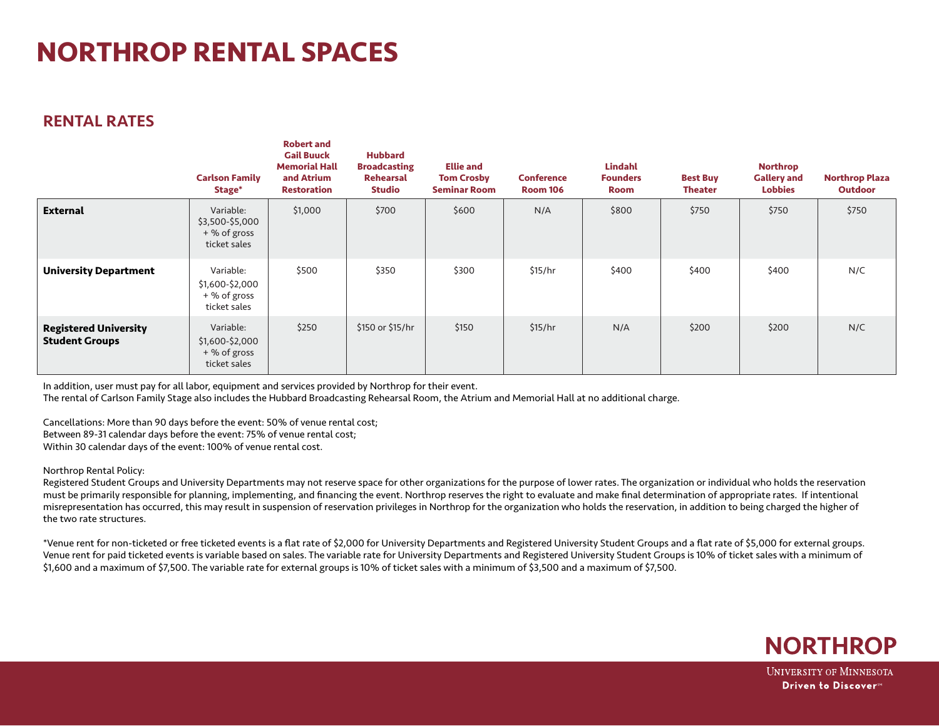# **NORTHROP RENTAL SPACES**

### RENTAL RATES

|                                                       | <b>Carlson Family</b><br>Stage*                              | RODERT and<br><b>Gail Buuck</b><br><b>Memorial Hall</b><br>and Atrium<br><b>Restoration</b> | <b>Hubbard</b><br><b>Broadcasting</b><br><b>Rehearsal</b><br><b>Studio</b> | <b>Ellie and</b><br><b>Tom Crosby</b><br><b>Seminar Room</b> | <b>Conference</b><br><b>Room 106</b> | <b>Lindahl</b><br><b>Founders</b><br><b>Room</b> | <b>Best Buy</b><br><b>Theater</b> | <b>Northrop</b><br><b>Gallery and</b><br><b>Lobbies</b> | <b>Northrop Plaza</b><br><b>Outdoor</b> |
|-------------------------------------------------------|--------------------------------------------------------------|---------------------------------------------------------------------------------------------|----------------------------------------------------------------------------|--------------------------------------------------------------|--------------------------------------|--------------------------------------------------|-----------------------------------|---------------------------------------------------------|-----------------------------------------|
| <b>External</b>                                       | Variable:<br>\$3,500-\$5,000<br>+ % of gross<br>ticket sales | \$1,000                                                                                     | \$700                                                                      | \$600                                                        | N/A                                  | \$800                                            | \$750                             | \$750                                                   | \$750                                   |
| <b>University Department</b>                          | Variable:<br>\$1,600-\$2,000<br>+ % of gross<br>ticket sales | \$500                                                                                       | \$350                                                                      | \$300                                                        | \$15/hr                              | \$400                                            | \$400                             | \$400                                                   | N/C                                     |
| <b>Registered University</b><br><b>Student Groups</b> | Variable:<br>\$1,600-\$2,000<br>+ % of gross<br>ticket sales | \$250                                                                                       | \$150 or \$15/hr                                                           | \$150                                                        | \$15/hr                              | N/A                                              | \$200                             | \$200                                                   | N/C                                     |

In addition, user must pay for all labor, equipment and services provided by Northrop for their event.

**Robert and** 

The rental of Carlson Family Stage also includes the Hubbard Broadcasting Rehearsal Room, the Atrium and Memorial Hall at no additional charge.

Cancellations: More than 90 days before the event: 50% of venue rental cost; Between 89-31 calendar days before the event: 75% of venue rental cost; Within 30 calendar days of the event: 100% of venue rental cost.

#### Northrop Rental Policy:

Registered Student Groups and University Departments may not reserve space for other organizations for the purpose of lower rates. The organization or individual who holds the reservation must be primarily responsible for planning, implementing, and financing the event. Northrop reserves the right to evaluate and make final determination of appropriate rates. If intentional misrepresentation has occurred, this may result in suspension of reservation privileges in Northrop for the organization who holds the reservation, in addition to being charged the higher of the two rate structures.

\*Venue rent for non-ticketed or free ticketed events is a flat rate of \$2,000 for University Departments and Registered University Student Groups and a flat rate of \$5,000 for external groups. Venue rent for paid ticketed events is variable based on sales. The variable rate for University Departments and Registered University Student Groups is 10% of ticket sales with a minimum of \$1,600 and a maximum of \$7,500. The variable rate for external groups is 10% of ticket sales with a minimum of \$3,500 and a maximum of \$7,500.



**UNIVERSITY OF MINNESOTA** Driven to Discover<sup>®</sup>